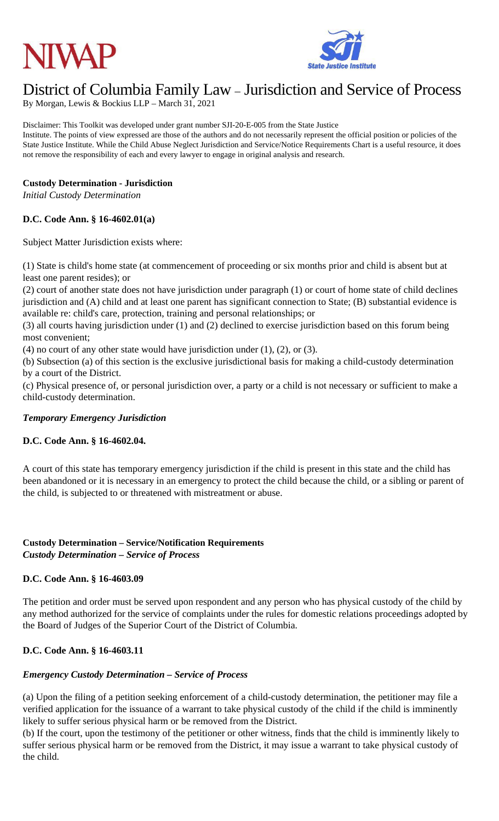



# District of Columbia Family Law – Jurisdiction and Service of Process

By Morgan, Lewis & Bockius LLP – March 31, 2021

Disclaimer: This Toolkit was developed under grant number SJI-20-E-005 from the State Justice Institute. The points of view expressed are those of the authors and do not necessarily represent the official position or policies of the State Justice Institute. While the Child Abuse Neglect Jurisdiction and Service/Notice Requirements Chart is a useful resource, it does not remove the responsibility of each and every lawyer to engage in original analysis and research.

#### **Custody Determination - Jurisdiction**

*Initial Custody Determination*

#### **D.C. Code Ann. § 16-4602.01(a)**

Subject Matter Jurisdiction exists where:

(1) State is child's home state (at commencement of proceeding or six months prior and child is absent but at least one parent resides); or

(2) court of another state does not have jurisdiction under paragraph (1) or court of home state of child declines jurisdiction and (A) child and at least one parent has significant connection to State; (B) substantial evidence is available re: child's care, protection, training and personal relationships; or

(3) all courts having jurisdiction under (1) and (2) declined to exercise jurisdiction based on this forum being most convenient;

(4) no court of any other state would have jurisdiction under  $(1)$ ,  $(2)$ , or  $(3)$ .

(b) Subsection (a) of this section is the exclusive jurisdictional basis for making a child-custody determination by a court of the District.

(c) Physical presence of, or personal jurisdiction over, a party or a child is not necessary or sufficient to make a child-custody determination.

#### *Temporary Emergency Jurisdiction*

#### **D.C. Code Ann. § 16-4602.04.**

A court of this state has temporary emergency jurisdiction if the child is present in this state and the child has been abandoned or it is necessary in an emergency to protect the child because the child, or a sibling or parent of the child, is subjected to or threatened with mistreatment or abuse.

#### **Custody Determination – Service/Notification Requirements** *Custody Determination – Service of Process*

#### **D.C. Code Ann. § 16-4603.09**

The petition and order must be served upon respondent and any person who has physical custody of the child by any method authorized for the service of complaints under the rules for domestic relations proceedings adopted by the Board of Judges of the Superior Court of the District of Columbia.

## **D.C. Code Ann. § 16-4603.11**

#### *Emergency Custody Determination – Service of Process*

(a) Upon the filing of a petition seeking enforcement of a child-custody determination, the petitioner may file a verified application for the issuance of a warrant to take physical custody of the child if the child is imminently likely to suffer serious physical harm or be removed from the District.

(b) If the court, upon the testimony of the petitioner or other witness, finds that the child is imminently likely to suffer serious physical harm or be removed from the District, it may issue a warrant to take physical custody of the child.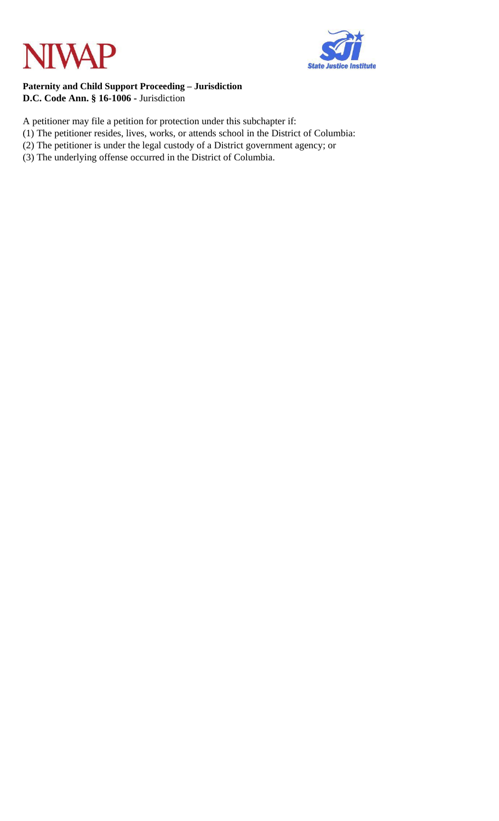



#### **Paternity and Child Support Proceeding – Jurisdiction D.C. Code Ann. § 16-1006 -** Jurisdiction

- A petitioner may file a petition for protection under this subchapter if:
- (1) The petitioner resides, lives, works, or attends school in the District of Columbia:
- (2) The petitioner is under the legal custody of a District government agency; or
- (3) The underlying offense occurred in the District of Columbia.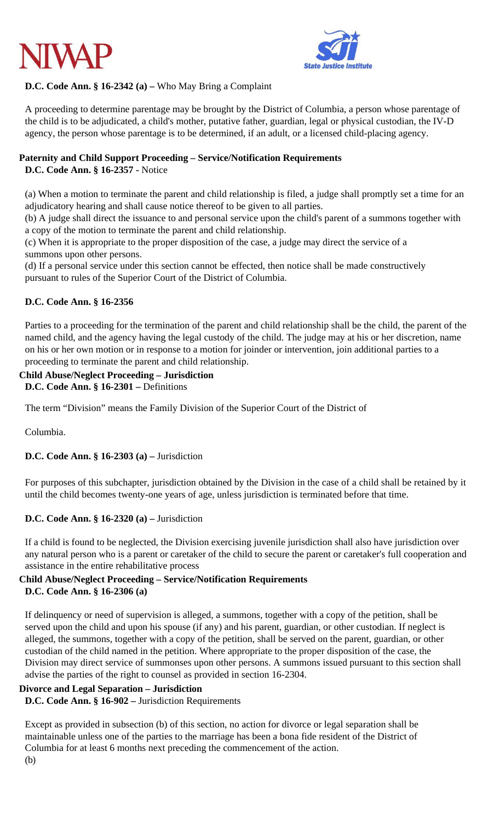



# **D.C. Code Ann. § 16-2342 (a) –** Who May Bring a Complaint

A proceeding to determine parentage may be brought by the District of Columbia, a person whose parentage of the child is to be adjudicated, a child's mother, putative father, guardian, legal or physical custodian, the IV-D agency, the person whose parentage is to be determined, if an adult, or a licensed child-placing agency.

## **Paternity and Child Support Proceeding – Service/Notification Requirements**

**D.C. Code Ann. § 16-2357 -** Notice

(a) When a motion to terminate the parent and child relationship is filed, a judge shall promptly set a time for an adjudicatory hearing and shall cause notice thereof to be given to all parties.

(b) A judge shall direct the issuance to and personal service upon the child's parent of a summons together with a copy of the motion to terminate the parent and child relationship.

(c) When it is appropriate to the proper disposition of the case, a judge may direct the service of a summons upon other persons.

(d) If a personal service under this section cannot be effected, then notice shall be made constructively pursuant to rules of the Superior Court of the District of Columbia.

## **D.C. Code Ann. § 16-2356**

Parties to a proceeding for the termination of the parent and child relationship shall be the child, the parent of the named child, and the agency having the legal custody of the child. The judge may at his or her discretion, name on his or her own motion or in response to a motion for joinder or intervention, join additional parties to a proceeding to terminate the parent and child relationship.

## **Child Abuse/Neglect Proceeding – Jurisdiction**

**D.C. Code Ann. § 16-2301 –** Definitions

The term "Division" means the Family Division of the Superior Court of the District of

Columbia.

## **D.C. Code Ann. § 16-2303 (a) –** Jurisdiction

For purposes of this subchapter, jurisdiction obtained by the Division in the case of a child shall be retained by it until the child becomes twenty-one years of age, unless jurisdiction is terminated before that time.

## **D.C. Code Ann. § 16-2320 (a) –** Jurisdiction

If a child is found to be neglected, the Division exercising juvenile jurisdiction shall also have jurisdiction over any natural person who is a parent or caretaker of the child to secure the parent or caretaker's full cooperation and assistance in the entire rehabilitative process

# **Child Abuse/Neglect Proceeding – Service/Notification Requirements**

## **D.C. Code Ann. § 16-2306 (a)**

If delinquency or need of supervision is alleged, a summons, together with a copy of the petition, shall be served upon the child and upon his spouse (if any) and his parent, guardian, or other custodian. If neglect is alleged, the summons, together with a copy of the petition, shall be served on the parent, guardian, or other custodian of the child named in the petition. Where appropriate to the proper disposition of the case, the Division may direct service of summonses upon other persons. A summons issued pursuant to this section shall advise the parties of the right to counsel as provided in section 16-2304.

## **Divorce and Legal Separation – Jurisdiction**

**D.C. Code Ann. § 16-902 –** Jurisdiction Requirements

Except as provided in subsection (b) of this section, no action for divorce or legal separation shall be maintainable unless one of the parties to the marriage has been a bona fide resident of the District of Columbia for at least 6 months next preceding the commencement of the action. (b)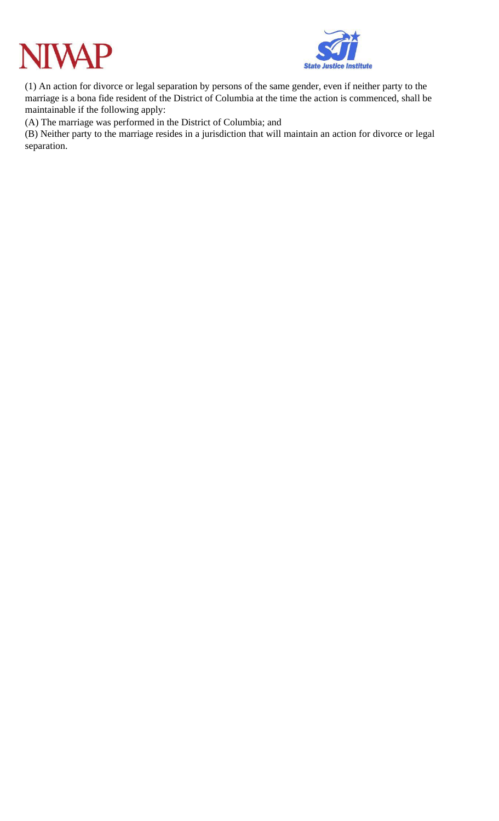



(1) An action for divorce or legal separation by persons of the same gender, even if neither party to the marriage is a bona fide resident of the District of Columbia at the time the action is commenced, shall be maintainable if the following apply:

(A) The marriage was performed in the District of Columbia; and

(B) Neither party to the marriage resides in a jurisdiction that will maintain an action for divorce or legal separation.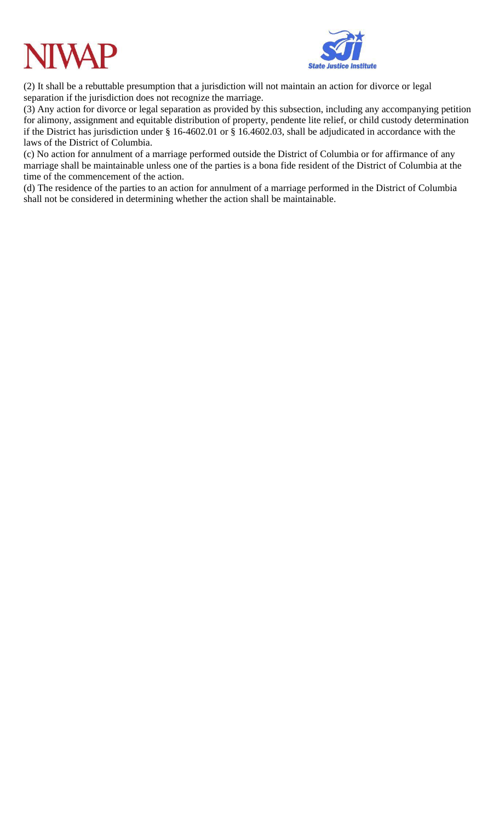



(2) It shall be a rebuttable presumption that a jurisdiction will not maintain an action for divorce or legal separation if the jurisdiction does not recognize the marriage.

(3) Any action for divorce or legal separation as provided by this subsection, including any accompanying petition for alimony, assignment and equitable distribution of property, pendente lite relief, or child custody determination if the District has jurisdiction under § 16-4602.01 or § 16.4602.03, shall be adjudicated in accordance with the laws of the District of Columbia.

(c) No action for annulment of a marriage performed outside the District of Columbia or for affirmance of any marriage shall be maintainable unless one of the parties is a bona fide resident of the District of Columbia at the time of the commencement of the action.

(d) The residence of the parties to an action for annulment of a marriage performed in the District of Columbia shall not be considered in determining whether the action shall be maintainable.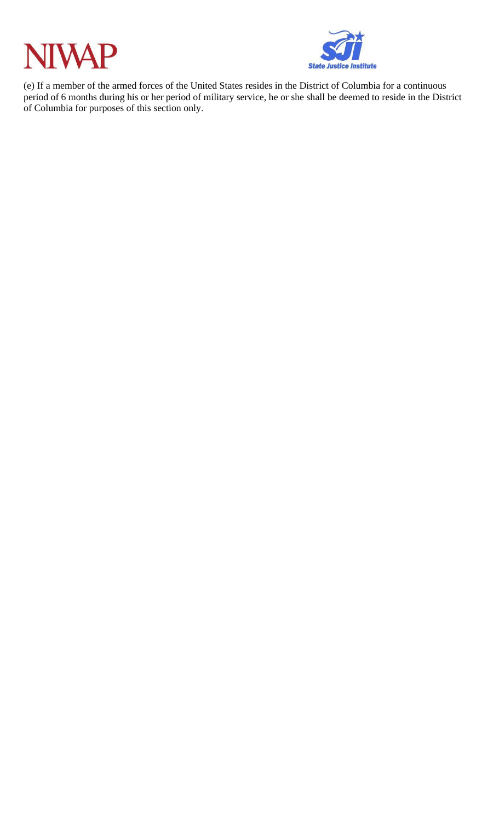



(e) If a member of the armed forces of the United States resides in the District of Columbia for a continuous period of 6 months during his or her period of military service, he or she shall be deemed to reside in the District of Columbia for purposes of this section only.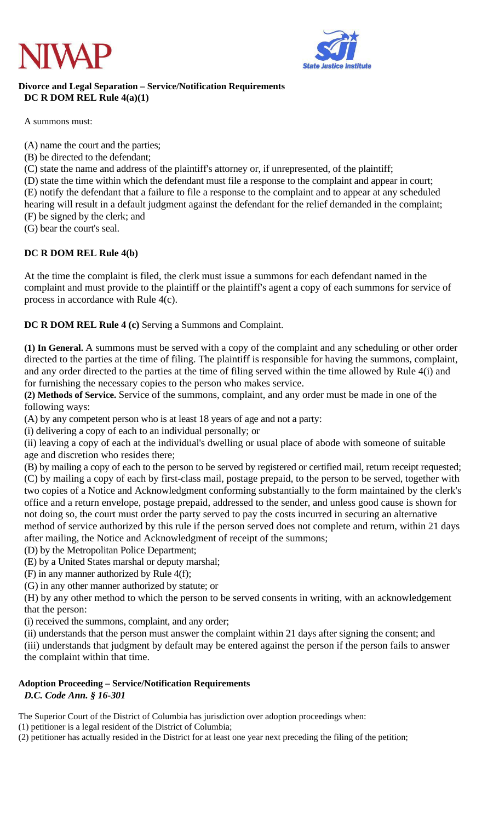



#### **Divorce and Legal Separation – Service/Notification Requirements DC R DOM REL Rule 4(a)(1)**

A summons must:

(A) name the court and the parties;

- (B) be directed to the defendant;
- (C) state the name and address of the plaintiff's attorney or, if unrepresented, of the plaintiff;

(D) state the time within which the defendant must file a response to the complaint and appear in court; (E) notify the defendant that a failure to file a response to the complaint and to appear at any scheduled hearing will result in a default judgment against the defendant for the relief demanded in the complaint; (F) be signed by the clerk; and

(G) bear the court's seal.

#### **DC R DOM REL Rule 4(b)**

At the time the complaint is filed, the clerk must issue a summons for each defendant named in the complaint and must provide to the plaintiff or the plaintiff's agent a copy of each summons for service of process in accordance with Rule 4(c).

**DC R DOM REL Rule 4 (c)** Serving a Summons and Complaint.

**(1) In General.** A summons must be served with a copy of the complaint and any scheduling or other order directed to the parties at the time of filing. The plaintiff is responsible for having the summons, complaint, and any order directed to the parties at the time of filing served within the time allowed by Rule 4(i) and for furnishing the necessary copies to the person who makes service.

**(2) Methods of Service.** Service of the summons, complaint, and any order must be made in one of the following ways:

(A) by any competent person who is at least 18 years of age and not a party:

(i) delivering a copy of each to an individual personally; or

(ii) leaving a copy of each at the individual's dwelling or usual place of abode with someone of suitable age and discretion who resides there;

(B) by mailing a copy of each to the person to be served by registered or certified mail, return receipt requested; (C) by mailing a copy of each by first-class mail, postage prepaid, to the person to be served, together with two copies of a Notice and Acknowledgment conforming substantially to the form maintained by the clerk's office and a return envelope, postage prepaid, addressed to the sender, and unless good cause is shown for not doing so, the court must order the party served to pay the costs incurred in securing an alternative method of service authorized by this rule if the person served does not complete and return, within 21 days after mailing, the Notice and Acknowledgment of receipt of the summons;

(D) by the Metropolitan Police Department;

(E) by a United States marshal or deputy marshal;

(F) in any manner authorized by Rule 4(f);

(G) in any other manner authorized by statute; or

(H) by any other method to which the person to be served consents in writing, with an acknowledgement that the person:

(i) received the summons, complaint, and any order;

(ii) understands that the person must answer the complaint within 21 days after signing the consent; and

(iii) understands that judgment by default may be entered against the person if the person fails to answer the complaint within that time.

#### **Adoption Proceeding – Service/Notification Requirements** *D.C. Code Ann. § 16-301*

The Superior Court of the District of Columbia has jurisdiction over adoption proceedings when:

(1) petitioner is a legal resident of the District of Columbia;

(2) petitioner has actually resided in the District for at least one year next preceding the filing of the petition;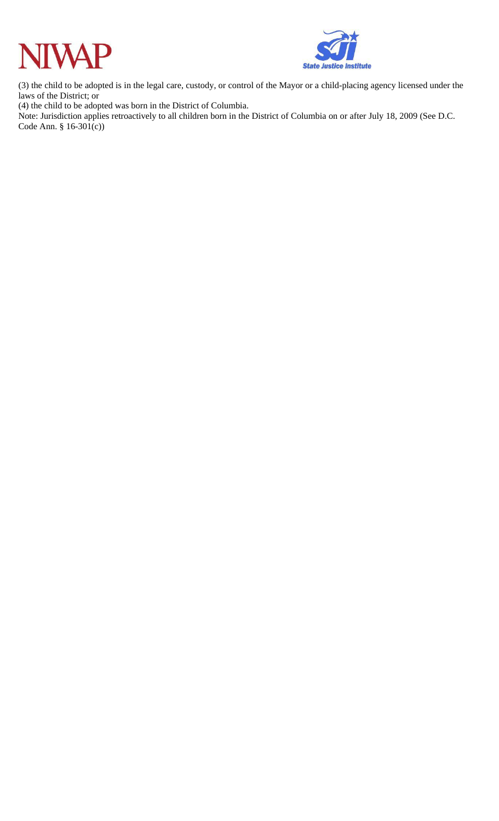



(3) the child to be adopted is in the legal care, custody, or control of the Mayor or a child-placing agency licensed under the laws of the District; or

(4) the child to be adopted was born in the District of Columbia.

Note: Jurisdiction applies retroactively to all children born in the District of Columbia on or after July 18, 2009 (See D.C. Code Ann. § 16-301(c))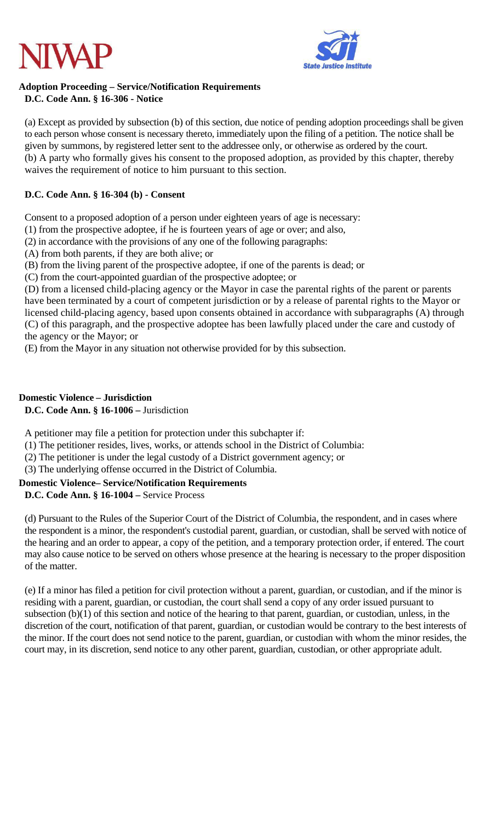



#### **Adoption Proceeding – Service/Notification Requirements D.C. Code Ann. § 16-306 - Notice**

(a) Except as provided by subsection (b) of this section, due notice of pending adoption proceedings shall be given to each person whose consent is necessary thereto, immediately upon the filing of a petition. The notice shall be given by summons, by registered letter sent to the addressee only, or otherwise as ordered by the court. (b) A party who formally gives his consent to the proposed adoption, as provided by this chapter, thereby waives the requirement of notice to him pursuant to this section.

## **D.C. Code Ann. § 16-304 (b) - Consent**

Consent to a proposed adoption of a person under eighteen years of age is necessary:

(1) from the prospective adoptee, if he is fourteen years of age or over; and also,

(2) in accordance with the provisions of any one of the following paragraphs:

(A) from both parents, if they are both alive; or

(B) from the living parent of the prospective adoptee, if one of the parents is dead; or

(C) from the court-appointed guardian of the prospective adoptee; or

(D) from a licensed child-placing agency or the Mayor in case the parental rights of the parent or parents have been terminated by a court of competent jurisdiction or by a release of parental rights to the Mayor or licensed child-placing agency, based upon consents obtained in accordance with subparagraphs (A) through (C) of this paragraph, and the prospective adoptee has been lawfully placed under the care and custody of the agency or the Mayor; or

(E) from the Mayor in any situation not otherwise provided for by this subsection.

#### **Domestic Violence – Jurisdiction**

**D.C. Code Ann. § 16-1006 –** Jurisdiction

A petitioner may file a petition for protection under this subchapter if:

(1) The petitioner resides, lives, works, or attends school in the District of Columbia:

(2) The petitioner is under the legal custody of a District government agency; or

(3) The underlying offense occurred in the District of Columbia.

## **Domestic Violence– Service/Notification Requirements**

**D.C. Code Ann. § 16-1004 –** Service Process

(d) Pursuant to the Rules of the Superior Court of the District of Columbia, the respondent, and in cases where the respondent is a minor, the respondent's custodial parent, guardian, or custodian, shall be served with notice of the hearing and an order to appear, a copy of the petition, and a temporary protection order, if entered. The court may also cause notice to be served on others whose presence at the hearing is necessary to the proper disposition of the matter.

(e) If a minor has filed a petition for civil protection without a parent, guardian, or custodian, and if the minor is residing with a parent, guardian, or custodian, the court shall send a copy of any order issued pursuant to subsection (b)(1) of this section and notice of the hearing to that parent, guardian, or custodian, unless, in the discretion of the court, notification of that parent, guardian, or custodian would be contrary to the best interests of the minor. If the court does not send notice to the parent, guardian, or custodian with whom the minor resides, the court may, in its discretion, send notice to any other parent, guardian, custodian, or other appropriate adult.